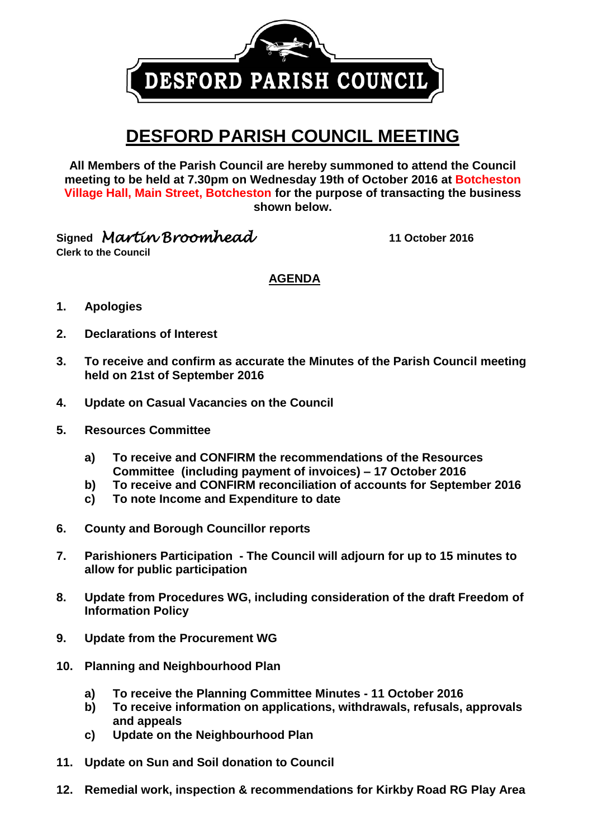DESFORD PARISH COUNCIL

## **DESFORD PARISH COUNCIL MEETING**

**All Members of the Parish Council are hereby summoned to attend the Council meeting to be held at 7.30pm on Wednesday 19th of October 2016 at Botcheston Village Hall, Main Street, Botcheston for the purpose of transacting the business shown below.**

**Signed** *Martin Broomhead* **11 October <sup>2016</sup>**

**Clerk to the Council**

**AGENDA**

- **1. Apologies**
- **2. Declarations of Interest**
- **3. To receive and confirm as accurate the Minutes of the Parish Council meeting held on 21st of September 2016**
- **4. Update on Casual Vacancies on the Council**
- **5. Resources Committee**
	- **a) To receive and CONFIRM the recommendations of the Resources Committee (including payment of invoices) – 17 October 2016**
	- **b) To receive and CONFIRM reconciliation of accounts for September 2016**
	- **c) To note Income and Expenditure to date**
- **6. County and Borough Councillor reports**
- **7. Parishioners Participation - The Council will adjourn for up to 15 minutes to allow for public participation**
- **8. Update from Procedures WG, including consideration of the draft Freedom of Information Policy**
- **9. Update from the Procurement WG**
- **10. Planning and Neighbourhood Plan**
	- **a) To receive the Planning Committee Minutes - 11 October 2016**
	- **b) To receive information on applications, withdrawals, refusals, approvals and appeals**
	- **c) Update on the Neighbourhood Plan**
- **11. Update on Sun and Soil donation to Council**
- **12. Remedial work, inspection & recommendations for Kirkby Road RG Play Area**